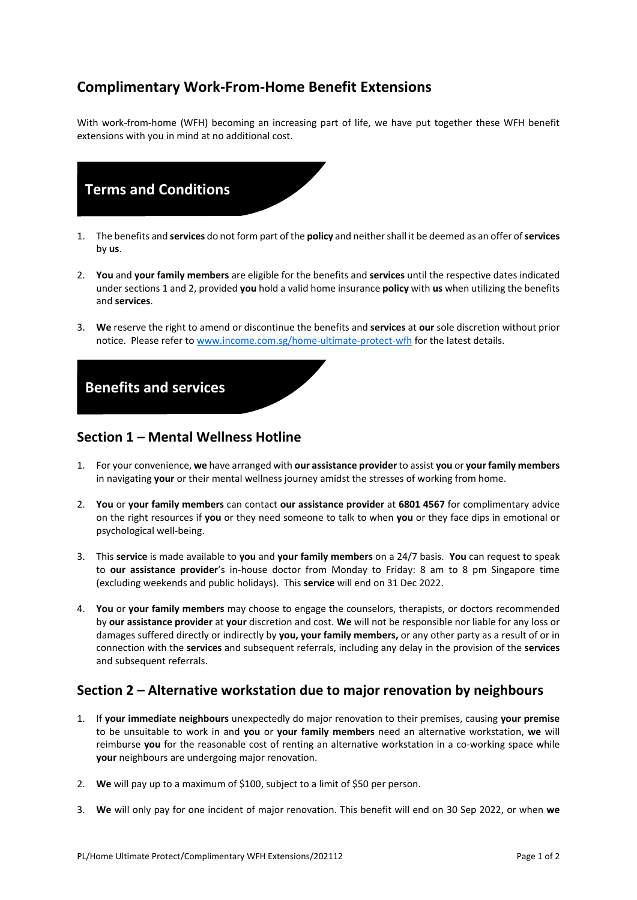## **Complimentary Work-From-Home Benefit Extensions**

With work-from-home (WFH) becoming an increasing part of life, we have put together these WFH benefit extensions with you in mind at no additional cost.



- 1. The benefits and **services** do not form part of the **policy** and neither shall it be deemed as an offer of **services** by **us**.
- 2. **You** and **your family members** are eligible for the benefits and **services** until the respective dates indicated under sections 1 and 2, provided **you** hold a valid home insurance **policy** with **us** when utilizing the benefits and **services**.
- 3. **We** reserve the right to amend or discontinue the benefits and **services** at **our** sole discretion without prior notice. Please refer to [www.income.com.sg/home-ultimate-protect-wfh](http://www.income.com.sg/home-ultimate-protect-wfh) for the latest details.



## **Section 1 – Mental Wellness Hotline**

- 1. For your convenience, **we** have arranged with **our assistance provider** to assist **you** or **your family members** in navigating **your** or their mental wellness journey amidst the stresses of working from home.
- 2. **You** or **your family members** can contact **our assistance provider** at **6801 4567** for complimentary advice on the right resources if **you** or they need someone to talk to when **you** or they face dips in emotional or psychological well-being.
- 3. This **service** is made available to **you** and **your family members** on a 24/7 basis. **You** can request to speak to **our assistance provider**'s in-house doctor from Monday to Friday: 8 am to 8 pm Singapore time (excluding weekends and public holidays). This **service** will end on 31 Dec 2022.
- 4. **You** or **your family members** may choose to engage the counselors, therapists, or doctors recommended by **our assistance provider** at **your** discretion and cost. **We** will not be responsible nor liable for any loss or damages suffered directly or indirectly by **you, your family members,** or any other party as a result of or in connection with the **services** and subsequent referrals, including any delay in the provision of the **services** and subsequent referrals.

## **Section 2 – Alternative workstation due to major renovation by neighbours**

- 1. If **your immediate neighbours** unexpectedly do major renovation to their premises, causing **your premise**  to be unsuitable to work in and **you** or **your family members** need an alternative workstation, **we** will reimburse **you** for the reasonable cost of renting an alternative workstation in a co-working space while **your** neighbours are undergoing major renovation.
- 2. **We** will pay up to a maximum of \$100, subject to a limit of \$50 per person.
- 3. **We** will only pay for one incident of major renovation. This benefit will end on 30 Sep 2022, or when **we**